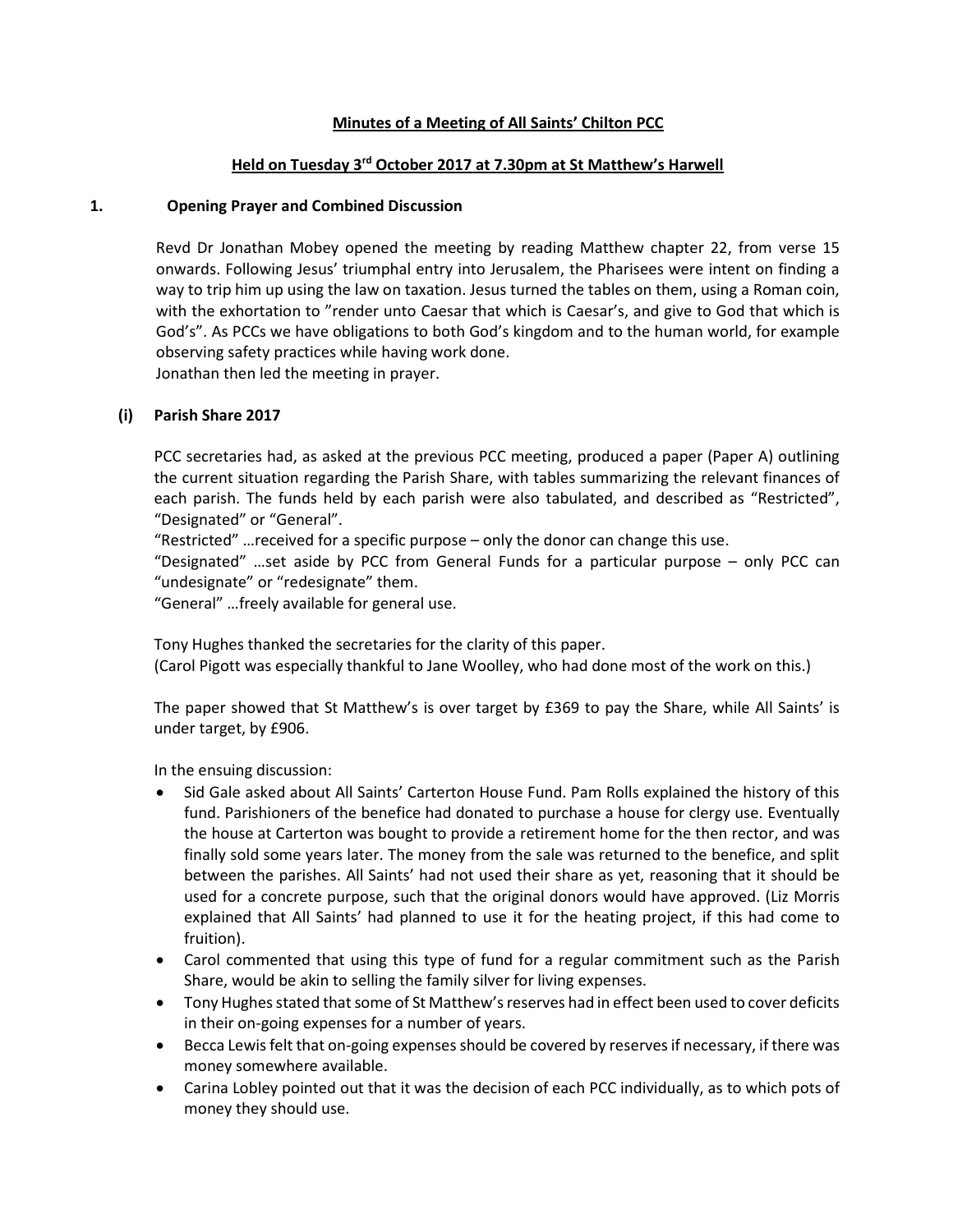# Minutes of a Meeting of All Saints' Chilton PCC

# Held on Tuesday 3rd October 2017 at 7.30pm at St Matthew's Harwell

#### 1. Opening Prayer and Combined Discussion

Revd Dr Jonathan Mobey opened the meeting by reading Matthew chapter 22, from verse 15 onwards. Following Jesus' triumphal entry into Jerusalem, the Pharisees were intent on finding a way to trip him up using the law on taxation. Jesus turned the tables on them, using a Roman coin, with the exhortation to "render unto Caesar that which is Caesar's, and give to God that which is God's". As PCCs we have obligations to both God's kingdom and to the human world, for example observing safety practices while having work done. Jonathan then led the meeting in prayer.

### (i) Parish Share 2017

PCC secretaries had, as asked at the previous PCC meeting, produced a paper (Paper A) outlining the current situation regarding the Parish Share, with tables summarizing the relevant finances of each parish. The funds held by each parish were also tabulated, and described as "Restricted", "Designated" or "General".

"Restricted" …received for a specific purpose – only the donor can change this use.

"Designated" …set aside by PCC from General Funds for a particular purpose – only PCC can "undesignate" or "redesignate" them.

"General" …freely available for general use.

Tony Hughes thanked the secretaries for the clarity of this paper. (Carol Pigott was especially thankful to Jane Woolley, who had done most of the work on this.)

The paper showed that St Matthew's is over target by £369 to pay the Share, while All Saints' is under target, by £906.

In the ensuing discussion:

- Sid Gale asked about All Saints' Carterton House Fund. Pam Rolls explained the history of this fund. Parishioners of the benefice had donated to purchase a house for clergy use. Eventually the house at Carterton was bought to provide a retirement home for the then rector, and was finally sold some years later. The money from the sale was returned to the benefice, and split between the parishes. All Saints' had not used their share as yet, reasoning that it should be used for a concrete purpose, such that the original donors would have approved. (Liz Morris explained that All Saints' had planned to use it for the heating project, if this had come to fruition).
- Carol commented that using this type of fund for a regular commitment such as the Parish Share, would be akin to selling the family silver for living expenses.
- Tony Hughes stated that some of St Matthew's reserves had in effect been used to cover deficits in their on-going expenses for a number of years.
- Becca Lewis felt that on-going expenses should be covered by reserves if necessary, if there was money somewhere available.
- Carina Lobley pointed out that it was the decision of each PCC individually, as to which pots of money they should use.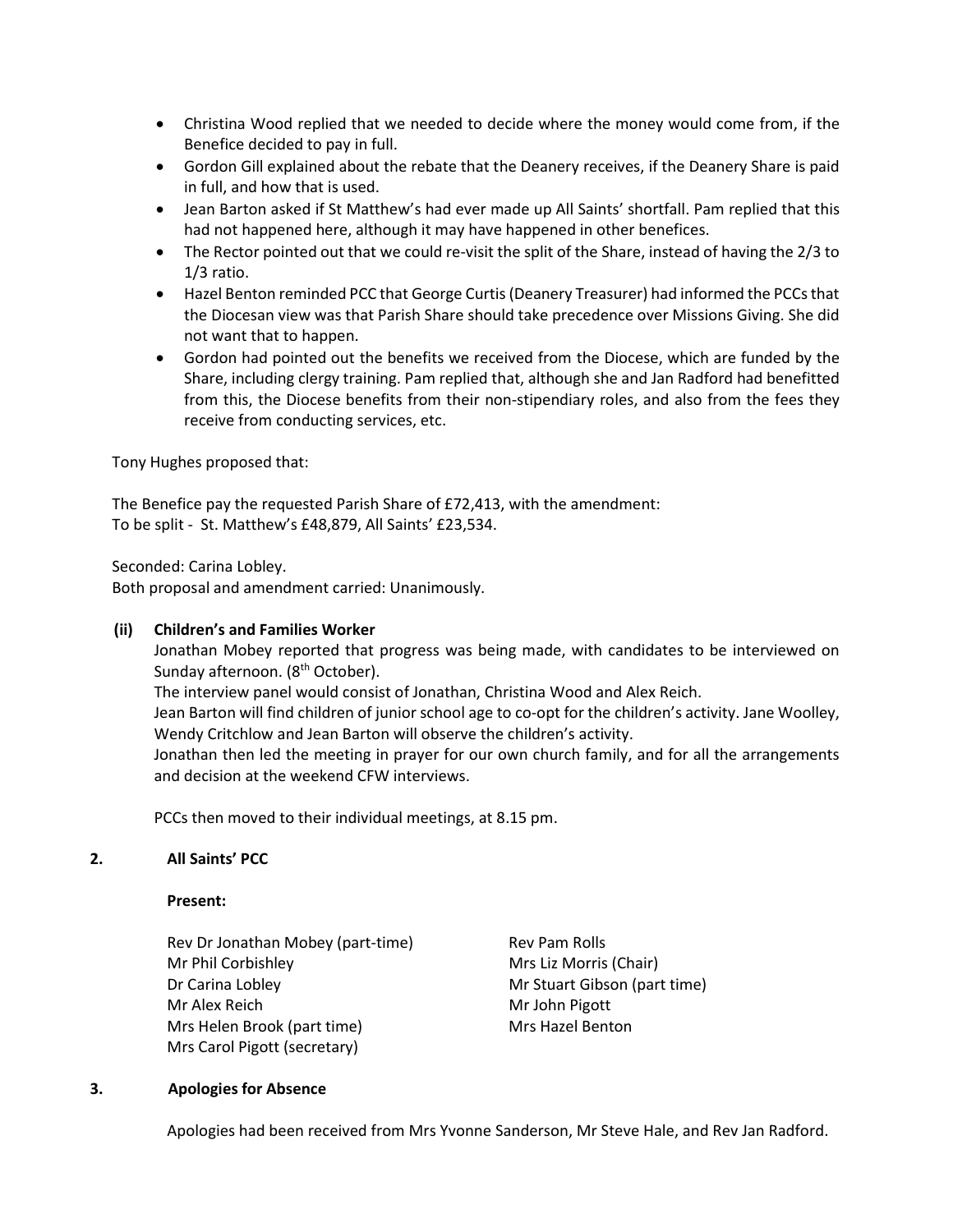- Christina Wood replied that we needed to decide where the money would come from, if the Benefice decided to pay in full.
- Gordon Gill explained about the rebate that the Deanery receives, if the Deanery Share is paid in full, and how that is used.
- Jean Barton asked if St Matthew's had ever made up All Saints' shortfall. Pam replied that this had not happened here, although it may have happened in other benefices.
- The Rector pointed out that we could re-visit the split of the Share, instead of having the 2/3 to 1/3 ratio.
- Hazel Benton reminded PCC that George Curtis (Deanery Treasurer) had informed the PCCs that the Diocesan view was that Parish Share should take precedence over Missions Giving. She did not want that to happen.
- Gordon had pointed out the benefits we received from the Diocese, which are funded by the Share, including clergy training. Pam replied that, although she and Jan Radford had benefitted from this, the Diocese benefits from their non-stipendiary roles, and also from the fees they receive from conducting services, etc.

Tony Hughes proposed that:

The Benefice pay the requested Parish Share of £72,413, with the amendment: To be split - St. Matthew's £48,879, All Saints' £23,534.

Seconded: Carina Lobley.

Both proposal and amendment carried: Unanimously.

### (ii) Children's and Families Worker

Jonathan Mobey reported that progress was being made, with candidates to be interviewed on Sunday afternoon. (8<sup>th</sup> October).

The interview panel would consist of Jonathan, Christina Wood and Alex Reich.

Jean Barton will find children of junior school age to co-opt for the children's activity. Jane Woolley, Wendy Critchlow and Jean Barton will observe the children's activity.

Jonathan then led the meeting in prayer for our own church family, and for all the arrangements and decision at the weekend CFW interviews.

PCCs then moved to their individual meetings, at 8.15 pm.

### 2. All Saints' PCC

#### Present:

Rev Dr Jonathan Mobey (part-time) Rev Pam Rolls Mr Phil Corbishley Mrs Liz Morris (Chair) Dr Carina Lobley **Mr Stuart Gibson (part time)** Mr Alex Reich Mr John Pigott Mrs Helen Brook (part time) Mrs Hazel Benton Mrs Carol Pigott (secretary)

#### 3. Apologies for Absence

Apologies had been received from Mrs Yvonne Sanderson, Mr Steve Hale, and Rev Jan Radford.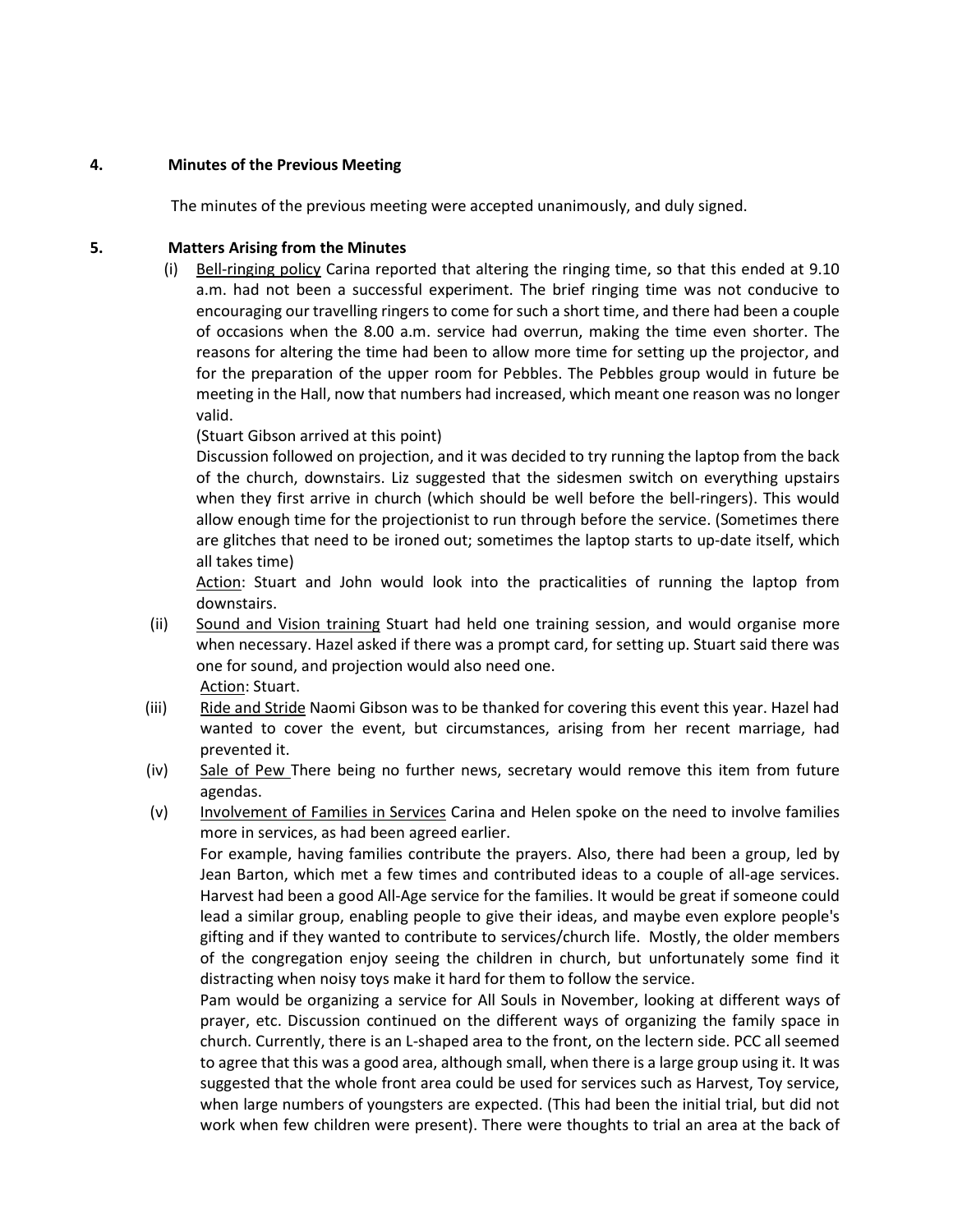# 4. Minutes of the Previous Meeting

The minutes of the previous meeting were accepted unanimously, and duly signed.

# 5. Matters Arising from the Minutes

(i) Bell-ringing policy Carina reported that altering the ringing time, so that this ended at 9.10 a.m. had not been a successful experiment. The brief ringing time was not conducive to encouraging our travelling ringers to come for such a short time, and there had been a couple of occasions when the 8.00 a.m. service had overrun, making the time even shorter. The reasons for altering the time had been to allow more time for setting up the projector, and for the preparation of the upper room for Pebbles. The Pebbles group would in future be meeting in the Hall, now that numbers had increased, which meant one reason was no longer valid.

(Stuart Gibson arrived at this point)

Discussion followed on projection, and it was decided to try running the laptop from the back of the church, downstairs. Liz suggested that the sidesmen switch on everything upstairs when they first arrive in church (which should be well before the bell-ringers). This would allow enough time for the projectionist to run through before the service. (Sometimes there are glitches that need to be ironed out; sometimes the laptop starts to up-date itself, which all takes time)

Action: Stuart and John would look into the practicalities of running the laptop from downstairs.

- (ii) Sound and Vision training Stuart had held one training session, and would organise more when necessary. Hazel asked if there was a prompt card, for setting up. Stuart said there was one for sound, and projection would also need one. Action: Stuart.
- (iii) Ride and Stride Naomi Gibson was to be thanked for covering this event this year. Hazel had wanted to cover the event, but circumstances, arising from her recent marriage, had prevented it.
- (iv) Sale of Pew There being no further news, secretary would remove this item from future agendas.
- (v) Involvement of Families in Services Carina and Helen spoke on the need to involve families more in services, as had been agreed earlier.

For example, having families contribute the prayers. Also, there had been a group, led by Jean Barton, which met a few times and contributed ideas to a couple of all-age services. Harvest had been a good All-Age service for the families. It would be great if someone could lead a similar group, enabling people to give their ideas, and maybe even explore people's gifting and if they wanted to contribute to services/church life. Mostly, the older members of the congregation enjoy seeing the children in church, but unfortunately some find it distracting when noisy toys make it hard for them to follow the service.

Pam would be organizing a service for All Souls in November, looking at different ways of prayer, etc. Discussion continued on the different ways of organizing the family space in church. Currently, there is an L-shaped area to the front, on the lectern side. PCC all seemed to agree that this was a good area, although small, when there is a large group using it. It was suggested that the whole front area could be used for services such as Harvest, Toy service, when large numbers of youngsters are expected. (This had been the initial trial, but did not work when few children were present). There were thoughts to trial an area at the back of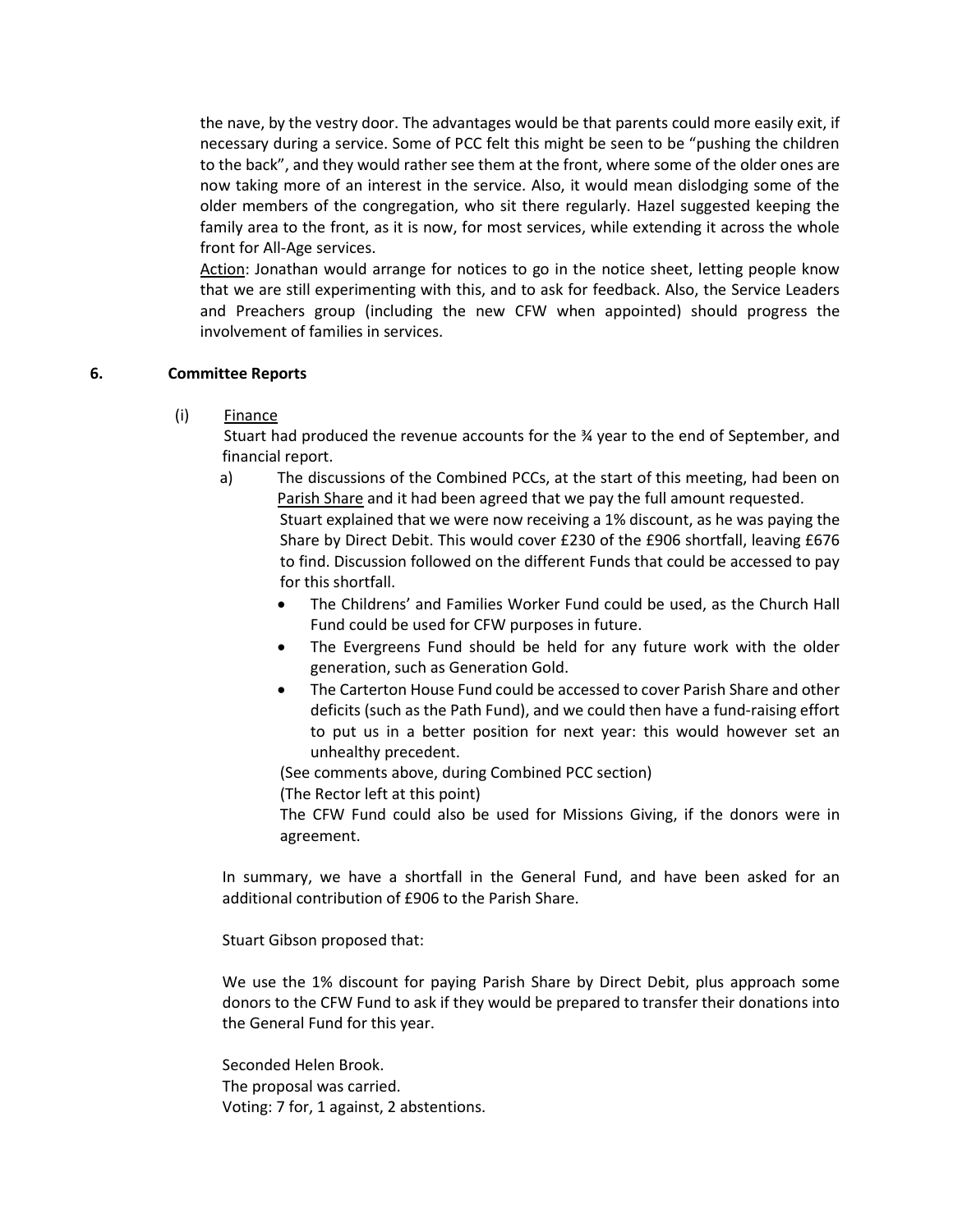the nave, by the vestry door. The advantages would be that parents could more easily exit, if necessary during a service. Some of PCC felt this might be seen to be "pushing the children to the back", and they would rather see them at the front, where some of the older ones are now taking more of an interest in the service. Also, it would mean dislodging some of the older members of the congregation, who sit there regularly. Hazel suggested keeping the family area to the front, as it is now, for most services, while extending it across the whole front for All-Age services.

Action: Jonathan would arrange for notices to go in the notice sheet, letting people know that we are still experimenting with this, and to ask for feedback. Also, the Service Leaders and Preachers group (including the new CFW when appointed) should progress the involvement of families in services.

### 6. Committee Reports

(i) Finance

Stuart had produced the revenue accounts for the  $\frac{3}{4}$  year to the end of September, and financial report.

- a) The discussions of the Combined PCCs, at the start of this meeting, had been on Parish Share and it had been agreed that we pay the full amount requested. Stuart explained that we were now receiving a 1% discount, as he was paying the Share by Direct Debit. This would cover £230 of the £906 shortfall, leaving £676 to find. Discussion followed on the different Funds that could be accessed to pay for this shortfall.
	- The Childrens' and Families Worker Fund could be used, as the Church Hall Fund could be used for CFW purposes in future.
	- The Evergreens Fund should be held for any future work with the older generation, such as Generation Gold.
	- The Carterton House Fund could be accessed to cover Parish Share and other deficits (such as the Path Fund), and we could then have a fund-raising effort to put us in a better position for next year: this would however set an unhealthy precedent.

(See comments above, during Combined PCC section)

(The Rector left at this point)

The CFW Fund could also be used for Missions Giving, if the donors were in agreement.

In summary, we have a shortfall in the General Fund, and have been asked for an additional contribution of £906 to the Parish Share.

Stuart Gibson proposed that:

We use the 1% discount for paying Parish Share by Direct Debit, plus approach some donors to the CFW Fund to ask if they would be prepared to transfer their donations into the General Fund for this year.

Seconded Helen Brook. The proposal was carried. Voting: 7 for, 1 against, 2 abstentions.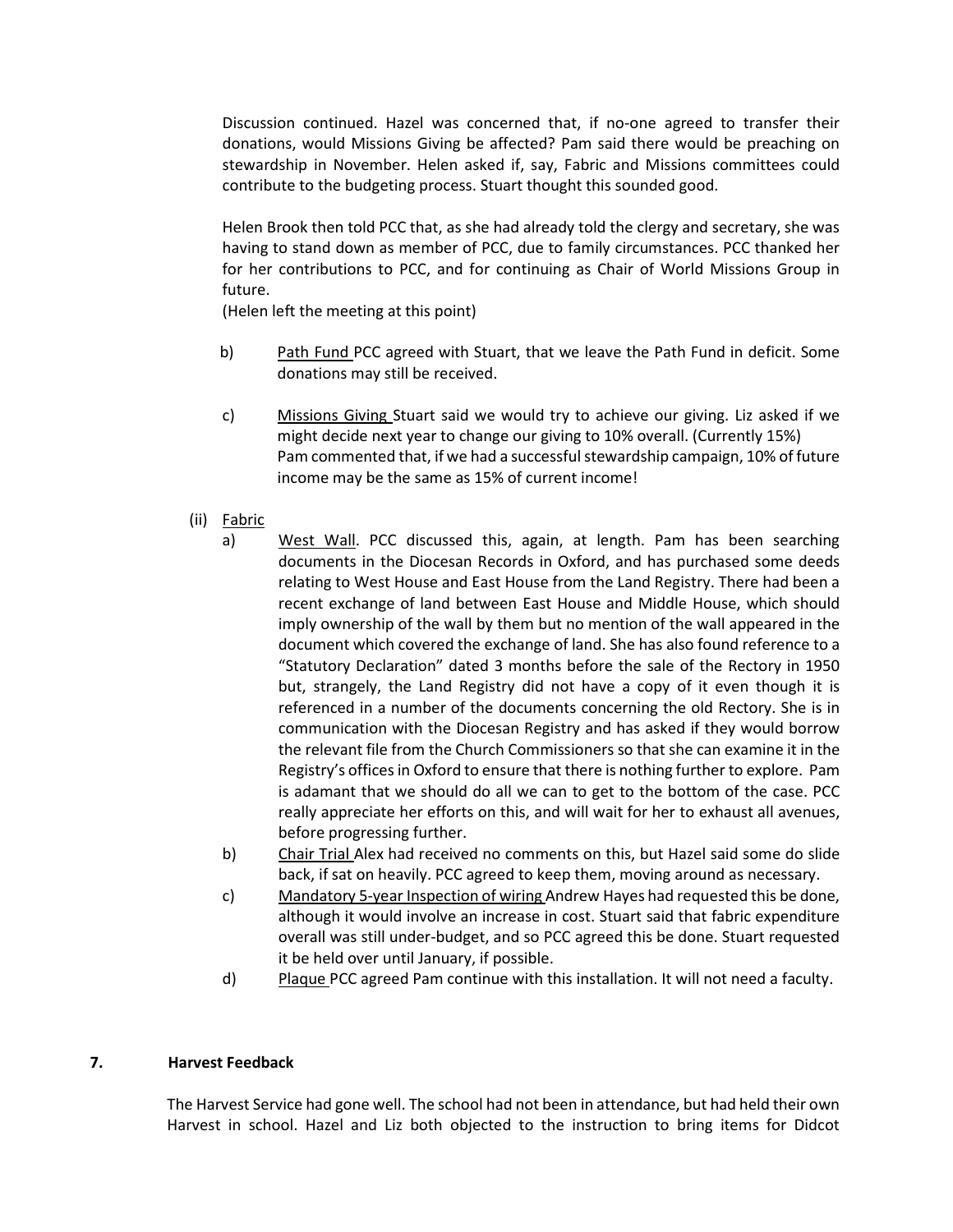Discussion continued. Hazel was concerned that, if no-one agreed to transfer their donations, would Missions Giving be affected? Pam said there would be preaching on stewardship in November. Helen asked if, say, Fabric and Missions committees could contribute to the budgeting process. Stuart thought this sounded good.

Helen Brook then told PCC that, as she had already told the clergy and secretary, she was having to stand down as member of PCC, due to family circumstances. PCC thanked her for her contributions to PCC, and for continuing as Chair of World Missions Group in future.

(Helen left the meeting at this point)

- b) Path Fund PCC agreed with Stuart, that we leave the Path Fund in deficit. Some donations may still be received.
- c) Missions Giving Stuart said we would try to achieve our giving. Liz asked if we might decide next year to change our giving to 10% overall. (Currently 15%) Pam commented that, if we had a successful stewardship campaign, 10% of future income may be the same as 15% of current income!
- (ii) Fabric
	- a) West Wall. PCC discussed this, again, at length. Pam has been searching documents in the Diocesan Records in Oxford, and has purchased some deeds relating to West House and East House from the Land Registry. There had been a recent exchange of land between East House and Middle House, which should imply ownership of the wall by them but no mention of the wall appeared in the document which covered the exchange of land. She has also found reference to a "Statutory Declaration" dated 3 months before the sale of the Rectory in 1950 but, strangely, the Land Registry did not have a copy of it even though it is referenced in a number of the documents concerning the old Rectory. She is in communication with the Diocesan Registry and has asked if they would borrow the relevant file from the Church Commissioners so that she can examine it in the Registry's offices in Oxford to ensure that there is nothing further to explore. Pam is adamant that we should do all we can to get to the bottom of the case. PCC really appreciate her efforts on this, and will wait for her to exhaust all avenues, before progressing further.
	- b) Chair Trial Alex had received no comments on this, but Hazel said some do slide back, if sat on heavily. PCC agreed to keep them, moving around as necessary.
	- c) Mandatory 5-year Inspection of wiring Andrew Hayes had requested this be done, although it would involve an increase in cost. Stuart said that fabric expenditure overall was still under-budget, and so PCC agreed this be done. Stuart requested it be held over until January, if possible.
	- d) Plaque PCC agreed Pam continue with this installation. It will not need a faculty.

# 7. Harvest Feedback

The Harvest Service had gone well. The school had not been in attendance, but had held their own Harvest in school. Hazel and Liz both objected to the instruction to bring items for Didcot